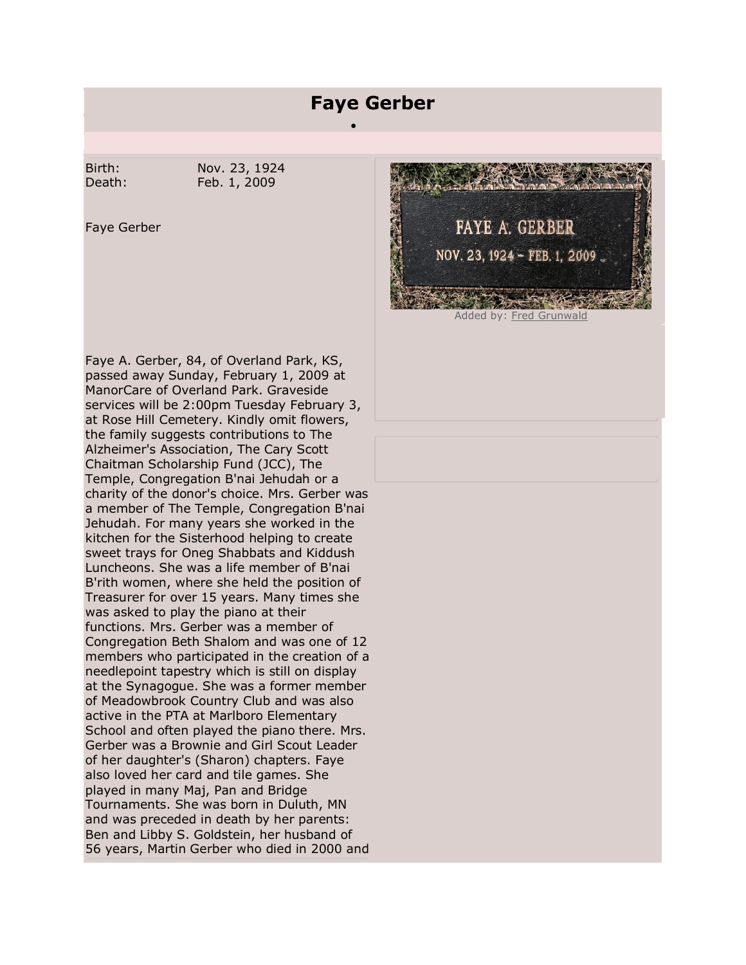## **Faye Gerber**

·

Birth: Nov. 23, 1924 Death: Feb. 1, 2009

Faye Gerber

Faye A. Gerber, 84, of Overland Park, KS, passed away Sunday, February 1, 2009 at ManorCare of Overland Park. Graveside services will be 2:00pm Tuesday February 3, at Rose Hill Cemetery. Kindly omit flowers, the family suggests contributions to The Alzheimer's Association, The Cary Scott Chaitman Scholarship Fund (JCC), The Temple, Congregation B'nai Jehudah or a charity of the donor's choice. Mrs. Gerber was a member of The Temple, Congregation B'nai Jehudah. For many years she worked in the kitchen for the Sisterhood helping to create sweet trays for Oneg Shabbats and Kiddush Luncheons. She was a life member of B'nai B'rith women, where she held the position of Treasurer for over 15 years. Many times she was asked to play the piano at their functions. Mrs. Gerber was a member of Congregation Beth Shalom and was one of 12 members who participated in the creation of a needlepoint tapestry which is still on display at the Synagogue. She was a former member of Meadowbrook Country Club and was also active in the PTA at Marlboro Elementary School and often played the piano there. Mrs. Gerber was a Brownie and Girl Scout Leader of her daughter's (Sharon) chapters. Faye also loved her card and tile games. She played in many Maj, Pan and Bridge Tournaments. She was born in Duluth, MN and was preceded in death by her parents: Ben and Libby S. Goldstein, her husband of 56 years, Martin Gerber who died in 2000 and